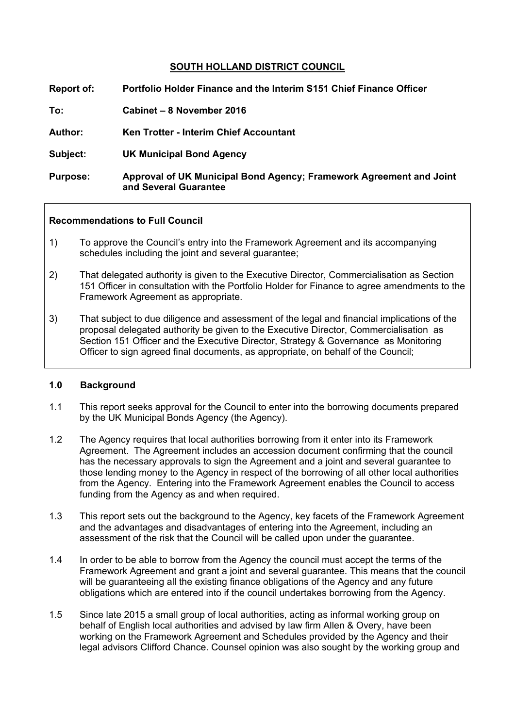# **SOUTH HOLLAND DISTRICT COUNCIL**

| Report of:      | Portfolio Holder Finance and the Interim S151 Chief Finance Officer                          |
|-----------------|----------------------------------------------------------------------------------------------|
| To:             | Cabinet – 8 November 2016                                                                    |
| <b>Author:</b>  | Ken Trotter - Interim Chief Accountant                                                       |
| Subject:        | <b>UK Municipal Bond Agency</b>                                                              |
| <b>Purpose:</b> | Approval of UK Municipal Bond Agency; Framework Agreement and Joint<br>and Several Guarantee |

#### **Recommendations to Full Council**

- 1) To approve the Council's entry into the Framework Agreement and its accompanying schedules including the joint and several guarantee;
- 2) That delegated authority is given to the Executive Director, Commercialisation as Section 151 Officer in consultation with the Portfolio Holder for Finance to agree amendments to the Framework Agreement as appropriate.
- 3) That subject to due diligence and assessment of the legal and financial implications of the proposal delegated authority be given to the Executive Director, Commercialisation as Section 151 Officer and the Executive Director, Strategy & Governance as Monitoring Officer to sign agreed final documents, as appropriate, on behalf of the Council;

#### **1.0 Background**

- 1.1 This report seeks approval for the Council to enter into the borrowing documents prepared by the UK Municipal Bonds Agency (the Agency).
- 1.2 The Agency requires that local authorities borrowing from it enter into its Framework Agreement. The Agreement includes an accession document confirming that the council has the necessary approvals to sign the Agreement and a joint and several guarantee to those lending money to the Agency in respect of the borrowing of all other local authorities from the Agency. Entering into the Framework Agreement enables the Council to access funding from the Agency as and when required.
- 1.3 This report sets out the background to the Agency, key facets of the Framework Agreement and the advantages and disadvantages of entering into the Agreement, including an assessment of the risk that the Council will be called upon under the guarantee.
- 1.4 In order to be able to borrow from the Agency the council must accept the terms of the Framework Agreement and grant a joint and several guarantee. This means that the council will be guaranteeing all the existing finance obligations of the Agency and any future obligations which are entered into if the council undertakes borrowing from the Agency.
- 1.5 Since late 2015 a small group of local authorities, acting as informal working group on behalf of English local authorities and advised by law firm Allen & Overy, have been working on the Framework Agreement and Schedules provided by the Agency and their legal advisors Clifford Chance. Counsel opinion was also sought by the working group and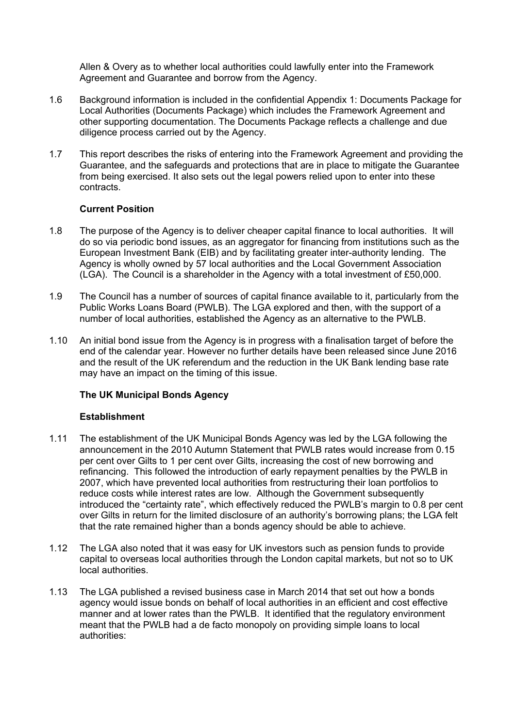Allen & Overy as to whether local authorities could lawfully enter into the Framework Agreement and Guarantee and borrow from the Agency.

- 1.6 Background information is included in the confidential Appendix 1: Documents Package for Local Authorities (Documents Package) which includes the Framework Agreement and other supporting documentation. The Documents Package reflects a challenge and due diligence process carried out by the Agency.
- 1.7 This report describes the risks of entering into the Framework Agreement and providing the Guarantee, and the safeguards and protections that are in place to mitigate the Guarantee from being exercised. It also sets out the legal powers relied upon to enter into these contracts.

# **Current Position**

- 1.8 The purpose of the Agency is to deliver cheaper capital finance to local authorities. It will do so via periodic bond issues, as an aggregator for financing from institutions such as the European Investment Bank (EIB) and by facilitating greater inter-authority lending. The Agency is wholly owned by 57 local authorities and the Local Government Association (LGA). The Council is a shareholder in the Agency with a total investment of £50,000.
- 1.9 The Council has a number of sources of capital finance available to it, particularly from the Public Works Loans Board (PWLB). The LGA explored and then, with the support of a number of local authorities, established the Agency as an alternative to the PWLB.
- 1.10 An initial bond issue from the Agency is in progress with a finalisation target of before the end of the calendar year. However no further details have been released since June 2016 and the result of the UK referendum and the reduction in the UK Bank lending base rate may have an impact on the timing of this issue.

# **The UK Municipal Bonds Agency**

#### **Establishment**

- 1.11 The establishment of the UK Municipal Bonds Agency was led by the LGA following the announcement in the 2010 Autumn Statement that PWLB rates would increase from 0.15 per cent over Gilts to 1 per cent over Gilts, increasing the cost of new borrowing and refinancing. This followed the introduction of early repayment penalties by the PWLB in 2007, which have prevented local authorities from restructuring their loan portfolios to reduce costs while interest rates are low. Although the Government subsequently introduced the "certainty rate", which effectively reduced the PWLB's margin to 0.8 per cent over Gilts in return for the limited disclosure of an authority's borrowing plans; the LGA felt that the rate remained higher than a bonds agency should be able to achieve.
- 1.12 The LGA also noted that it was easy for UK investors such as pension funds to provide capital to overseas local authorities through the London capital markets, but not so to UK local authorities.
- 1.13 The LGA published a revised business case in March 2014 that set out how a bonds agency would issue bonds on behalf of local authorities in an efficient and cost effective manner and at lower rates than the PWLB. It identified that the regulatory environment meant that the PWLB had a de facto monopoly on providing simple loans to local authorities: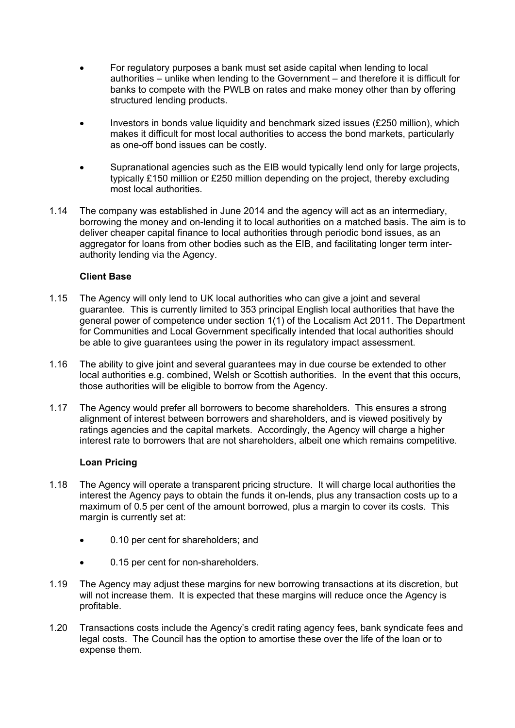- For regulatory purposes a bank must set aside capital when lending to local authorities – unlike when lending to the Government – and therefore it is difficult for banks to compete with the PWLB on rates and make money other than by offering structured lending products.
- Investors in bonds value liquidity and benchmark sized issues (£250 million), which makes it difficult for most local authorities to access the bond markets, particularly as one-off bond issues can be costly.
- Supranational agencies such as the EIB would typically lend only for large projects, typically £150 million or £250 million depending on the project, thereby excluding most local authorities.
- 1.14 The company was established in June 2014 and the agency will act as an intermediary, borrowing the money and on-lending it to local authorities on a matched basis. The aim is to deliver cheaper capital finance to local authorities through periodic bond issues, as an aggregator for loans from other bodies such as the EIB, and facilitating longer term interauthority lending via the Agency.

# **Client Base**

- 1.15 The Agency will only lend to UK local authorities who can give a joint and several guarantee. This is currently limited to 353 principal English local authorities that have the general power of competence under section 1(1) of the Localism Act 2011. The Department for Communities and Local Government specifically intended that local authorities should be able to give guarantees using the power in its regulatory impact assessment.
- 1.16 The ability to give joint and several guarantees may in due course be extended to other local authorities e.g. combined, Welsh or Scottish authorities. In the event that this occurs, those authorities will be eligible to borrow from the Agency.
- 1.17 The Agency would prefer all borrowers to become shareholders. This ensures a strong alignment of interest between borrowers and shareholders, and is viewed positively by ratings agencies and the capital markets. Accordingly, the Agency will charge a higher interest rate to borrowers that are not shareholders, albeit one which remains competitive.

# **Loan Pricing**

- 1.18 The Agency will operate a transparent pricing structure. It will charge local authorities the interest the Agency pays to obtain the funds it on-lends, plus any transaction costs up to a maximum of 0.5 per cent of the amount borrowed, plus a margin to cover its costs. This margin is currently set at:
	- 0.10 per cent for shareholders; and
	- 0.15 per cent for non-shareholders.
- 1.19 The Agency may adjust these margins for new borrowing transactions at its discretion, but will not increase them. It is expected that these margins will reduce once the Agency is profitable.
- 1.20 Transactions costs include the Agency's credit rating agency fees, bank syndicate fees and legal costs. The Council has the option to amortise these over the life of the loan or to expense them.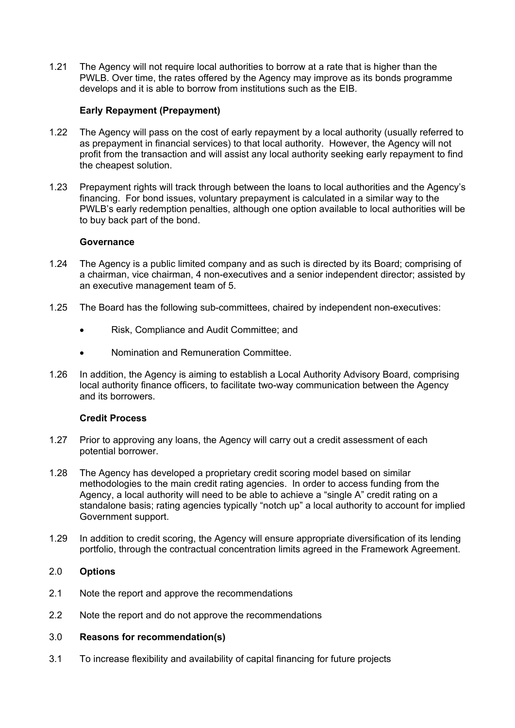1.21 The Agency will not require local authorities to borrow at a rate that is higher than the PWLB. Over time, the rates offered by the Agency may improve as its bonds programme develops and it is able to borrow from institutions such as the EIB.

### **Early Repayment (Prepayment)**

- 1.22 The Agency will pass on the cost of early repayment by a local authority (usually referred to as prepayment in financial services) to that local authority. However, the Agency will not profit from the transaction and will assist any local authority seeking early repayment to find the cheapest solution.
- 1.23 Prepayment rights will track through between the loans to local authorities and the Agency's financing. For bond issues, voluntary prepayment is calculated in a similar way to the PWLB's early redemption penalties, although one option available to local authorities will be to buy back part of the bond.

#### **Governance**

- 1.24 The Agency is a public limited company and as such is directed by its Board; comprising of a chairman, vice chairman, 4 non-executives and a senior independent director; assisted by an executive management team of 5.
- 1.25 The Board has the following sub-committees, chaired by independent non-executives:
	- Risk, Compliance and Audit Committee; and
	- Nomination and Remuneration Committee.
- 1.26 In addition, the Agency is aiming to establish a Local Authority Advisory Board, comprising local authority finance officers, to facilitate two-way communication between the Agency and its borrowers.

#### **Credit Process**

- 1.27 Prior to approving any loans, the Agency will carry out a credit assessment of each potential borrower.
- 1.28 The Agency has developed a proprietary credit scoring model based on similar methodologies to the main credit rating agencies. In order to access funding from the Agency, a local authority will need to be able to achieve a "single A" credit rating on a standalone basis; rating agencies typically "notch up" a local authority to account for implied Government support.
- 1.29 In addition to credit scoring, the Agency will ensure appropriate diversification of its lending portfolio, through the contractual concentration limits agreed in the Framework Agreement.

#### 2.0 **Options**

- 2.1 Note the report and approve the recommendations
- 2.2 Note the report and do not approve the recommendations

#### 3.0 **Reasons for recommendation(s)**

3.1 To increase flexibility and availability of capital financing for future projects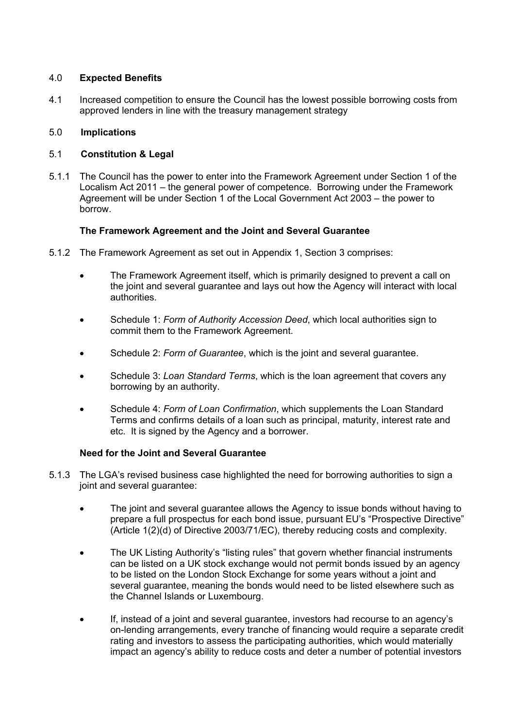# 4.0 **Expected Benefits**

4.1 Increased competition to ensure the Council has the lowest possible borrowing costs from approved lenders in line with the treasury management strategy

# 5.0 **Implications**

# 5.1 **Constitution & Legal**

5.1.1 The Council has the power to enter into the Framework Agreement under Section 1 of the Localism Act 2011 – the general power of competence. Borrowing under the Framework Agreement will be under Section 1 of the Local Government Act 2003 – the power to borrow.

# **The Framework Agreement and the Joint and Several Guarantee**

- 5.1.2 The Framework Agreement as set out in Appendix 1, Section 3 comprises:
	- The Framework Agreement itself, which is primarily designed to prevent a call on the joint and several guarantee and lays out how the Agency will interact with local authorities.
	- Schedule 1: *Form of Authority Accession Deed*, which local authorities sign to commit them to the Framework Agreement.
	- Schedule 2: *Form of Guarantee*, which is the joint and several guarantee.
	- Schedule 3: *Loan Standard Terms*, which is the loan agreement that covers any borrowing by an authority.
	- Schedule 4: *Form of Loan Confirmation*, which supplements the Loan Standard Terms and confirms details of a loan such as principal, maturity, interest rate and etc. It is signed by the Agency and a borrower.

# **Need for the Joint and Several Guarantee**

- 5.1.3 The LGA's revised business case highlighted the need for borrowing authorities to sign a joint and several guarantee:
	- The joint and several guarantee allows the Agency to issue bonds without having to prepare a full prospectus for each bond issue, pursuant EU's "Prospective Directive" (Article 1(2)(d) of Directive 2003/71/EC), thereby reducing costs and complexity.
	- The UK Listing Authority's "listing rules" that govern whether financial instruments can be listed on a UK stock exchange would not permit bonds issued by an agency to be listed on the London Stock Exchange for some vears without a joint and several guarantee, meaning the bonds would need to be listed elsewhere such as the Channel Islands or Luxembourg.
	- If, instead of a joint and several guarantee, investors had recourse to an agency's on-lending arrangements, every tranche of financing would require a separate credit rating and investors to assess the participating authorities, which would materially impact an agency's ability to reduce costs and deter a number of potential investors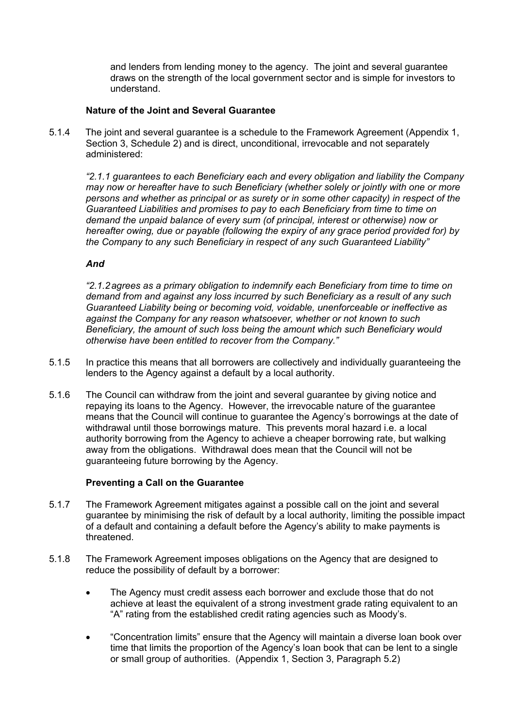and lenders from lending money to the agency. The joint and several guarantee draws on the strength of the local government sector and is simple for investors to understand.

# **Nature of the Joint and Several Guarantee**

5.1.4 The joint and several guarantee is a schedule to the Framework Agreement (Appendix 1, Section 3, Schedule 2) and is direct, unconditional, irrevocable and not separately administered:

*"2.1.1 guarantees to each Beneficiary each and every obligation and liability the Company may now or hereafter have to such Beneficiary (whether solely or jointly with one or more persons and whether as principal or as surety or in some other capacity) in respect of the Guaranteed Liabilities and promises to pay to each Beneficiary from time to time on demand the unpaid balance of every sum (of principal, interest or otherwise) now or hereafter owing, due or payable (following the expiry of any grace period provided for) by the Company to any such Beneficiary in respect of any such Guaranteed Liability"*

#### *And*

*"2.1.2agrees as a primary obligation to indemnify each Beneficiary from time to time on demand from and against any loss incurred by such Beneficiary as a result of any such Guaranteed Liability being or becoming void, voidable, unenforceable or ineffective as against the Company for any reason whatsoever, whether or not known to such Beneficiary, the amount of such loss being the amount which such Beneficiary would otherwise have been entitled to recover from the Company."*

- 5.1.5 In practice this means that all borrowers are collectively and individually guaranteeing the lenders to the Agency against a default by a local authority.
- 5.1.6 The Council can withdraw from the joint and several guarantee by giving notice and repaying its loans to the Agency. However, the irrevocable nature of the guarantee means that the Council will continue to guarantee the Agency's borrowings at the date of withdrawal until those borrowings mature. This prevents moral hazard i.e. a local authority borrowing from the Agency to achieve a cheaper borrowing rate, but walking away from the obligations. Withdrawal does mean that the Council will not be guaranteeing future borrowing by the Agency.

#### **Preventing a Call on the Guarantee**

- 5.1.7 The Framework Agreement mitigates against a possible call on the joint and several guarantee by minimising the risk of default by a local authority, limiting the possible impact of a default and containing a default before the Agency's ability to make payments is threatened.
- 5.1.8 The Framework Agreement imposes obligations on the Agency that are designed to reduce the possibility of default by a borrower:
	- The Agency must credit assess each borrower and exclude those that do not achieve at least the equivalent of a strong investment grade rating equivalent to an "A" rating from the established credit rating agencies such as Moody's.
	- "Concentration limits" ensure that the Agency will maintain a diverse loan book over time that limits the proportion of the Agency's loan book that can be lent to a single or small group of authorities. (Appendix 1, Section 3, Paragraph 5.2)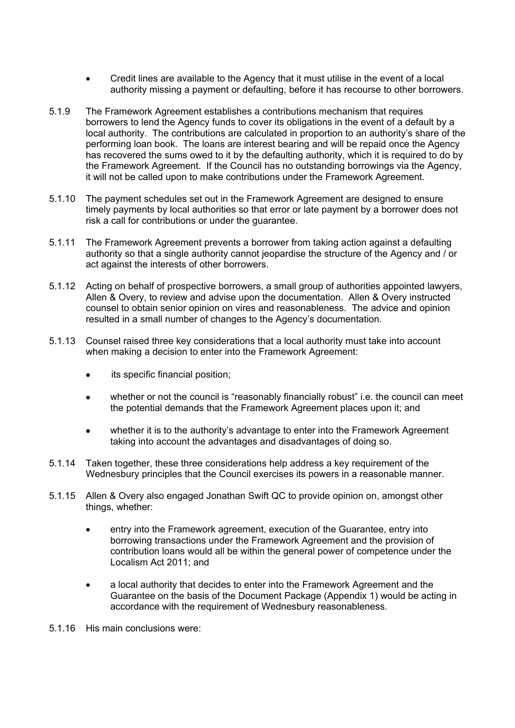- Credit lines are available to the Agency that it must utilise in the event of a local authority missing a payment or defaulting, before it has recourse to other borrowers.
- 5.1.9 The Framework Agreement establishes a contributions mechanism that requires borrowers to lend the Agency funds to cover its obligations in the event of a default by a local authority. The contributions are calculated in proportion to an authority's share of the performing loan book. The loans are interest bearing and will be repaid once the Agency has recovered the sums owed to it by the defaulting authority, which it is required to do by the Framework Agreement. If the Council has no outstanding borrowings via the Agency, it will not be called upon to make contributions under the Framework Agreement.
- 5.1.10 The payment schedules set out in the Framework Agreement are designed to ensure timely payments by local authorities so that error or late payment by a borrower does not risk a call for contributions or under the guarantee.
- 5.1.11 The Framework Agreement prevents a borrower from taking action against a defaulting authority so that a single authority cannot jeopardise the structure of the Agency and / or act against the interests of other borrowers.
- 5.1.12 Acting on behalf of prospective borrowers, a small group of authorities appointed lawyers, Allen & Overy, to review and advise upon the documentation. Allen & Overy instructed counsel to obtain senior opinion on vires and reasonableness. The advice and opinion resulted in a small number of changes to the Agency's documentation.
- 5.1.13 Counsel raised three key considerations that a local authority must take into account when making a decision to enter into the Framework Agreement:
	- its specific financial position;
	- whether or not the council is "reasonably financially robust" i.e. the council can meet the potential demands that the Framework Agreement places upon it; and
	- whether it is to the authority's advantage to enter into the Framework Agreement taking into account the advantages and disadvantages of doing so.
- 5.1.14 Taken together, these three considerations help address a key requirement of the Wednesbury principles that the Council exercises its powers in a reasonable manner.
- 5.1.15 Allen & Overy also engaged Jonathan Swift QC to provide opinion on, amongst other things, whether:
	- entry into the Framework agreement, execution of the Guarantee, entry into borrowing transactions under the Framework Agreement and the provision of contribution loans would all be within the general power of competence under the Localism Act 2011; and
	- a local authority that decides to enter into the Framework Agreement and the Guarantee on the basis of the Document Package (Appendix 1) would be acting in accordance with the requirement of Wednesbury reasonableness.
- 5.1.16 His main conclusions were: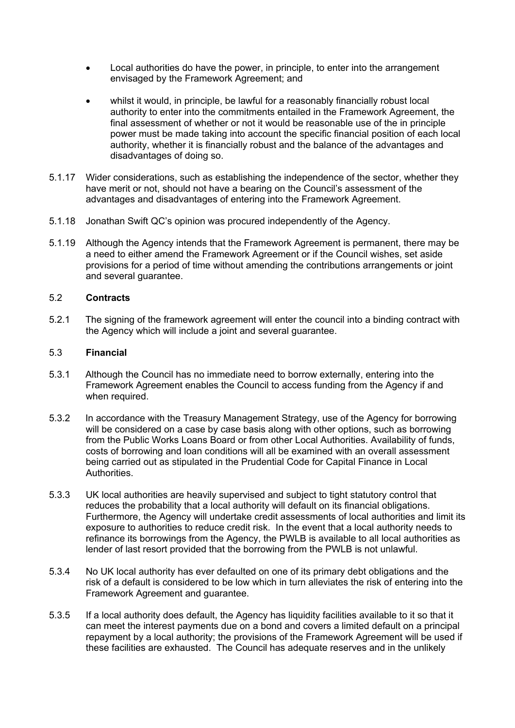- Local authorities do have the power, in principle, to enter into the arrangement envisaged by the Framework Agreement; and
- whilst it would, in principle, be lawful for a reasonably financially robust local authority to enter into the commitments entailed in the Framework Agreement, the final assessment of whether or not it would be reasonable use of the in principle power must be made taking into account the specific financial position of each local authority, whether it is financially robust and the balance of the advantages and disadvantages of doing so.
- 5.1.17 Wider considerations, such as establishing the independence of the sector, whether they have merit or not, should not have a bearing on the Council's assessment of the advantages and disadvantages of entering into the Framework Agreement.
- 5.1.18 Jonathan Swift QC's opinion was procured independently of the Agency.
- 5.1.19 Although the Agency intends that the Framework Agreement is permanent, there may be a need to either amend the Framework Agreement or if the Council wishes, set aside provisions for a period of time without amending the contributions arrangements or joint and several guarantee.

# 5.2 **Contracts**

5.2.1 The signing of the framework agreement will enter the council into a binding contract with the Agency which will include a joint and several guarantee.

#### 5.3 **Financial**

- 5.3.1 Although the Council has no immediate need to borrow externally, entering into the Framework Agreement enables the Council to access funding from the Agency if and when required.
- 5.3.2 In accordance with the Treasury Management Strategy, use of the Agency for borrowing will be considered on a case by case basis along with other options, such as borrowing from the Public Works Loans Board or from other Local Authorities. Availability of funds, costs of borrowing and loan conditions will all be examined with an overall assessment being carried out as stipulated in the Prudential Code for Capital Finance in Local Authorities.
- 5.3.3 UK local authorities are heavily supervised and subject to tight statutory control that reduces the probability that a local authority will default on its financial obligations. Furthermore, the Agency will undertake credit assessments of local authorities and limit its exposure to authorities to reduce credit risk. In the event that a local authority needs to refinance its borrowings from the Agency, the PWLB is available to all local authorities as lender of last resort provided that the borrowing from the PWLB is not unlawful.
- 5.3.4 No UK local authority has ever defaulted on one of its primary debt obligations and the risk of a default is considered to be low which in turn alleviates the risk of entering into the Framework Agreement and guarantee.
- 5.3.5 If a local authority does default, the Agency has liquidity facilities available to it so that it can meet the interest payments due on a bond and covers a limited default on a principal repayment by a local authority; the provisions of the Framework Agreement will be used if these facilities are exhausted. The Council has adequate reserves and in the unlikely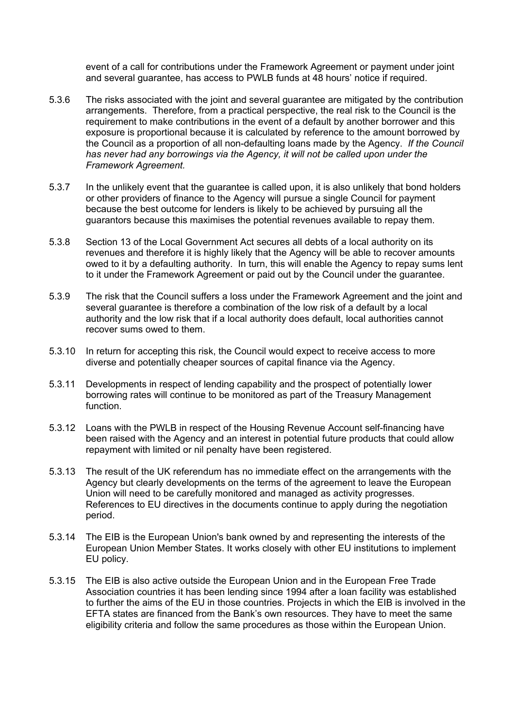event of a call for contributions under the Framework Agreement or payment under joint and several guarantee, has access to PWLB funds at 48 hours' notice if required.

- 5.3.6 The risks associated with the joint and several guarantee are mitigated by the contribution arrangements. Therefore, from a practical perspective, the real risk to the Council is the requirement to make contributions in the event of a default by another borrower and this exposure is proportional because it is calculated by reference to the amount borrowed by the Council as a proportion of all non-defaulting loans made by the Agency. *If the Council has never had any borrowings via the Agency, it will not be called upon under the Framework Agreement.*
- 5.3.7 In the unlikely event that the guarantee is called upon, it is also unlikely that bond holders or other providers of finance to the Agency will pursue a single Council for payment because the best outcome for lenders is likely to be achieved by pursuing all the guarantors because this maximises the potential revenues available to repay them.
- 5.3.8 Section 13 of the Local Government Act secures all debts of a local authority on its revenues and therefore it is highly likely that the Agency will be able to recover amounts owed to it by a defaulting authority. In turn, this will enable the Agency to repay sums lent to it under the Framework Agreement or paid out by the Council under the guarantee.
- 5.3.9 The risk that the Council suffers a loss under the Framework Agreement and the joint and several guarantee is therefore a combination of the low risk of a default by a local authority and the low risk that if a local authority does default, local authorities cannot recover sums owed to them.
- 5.3.10 In return for accepting this risk, the Council would expect to receive access to more diverse and potentially cheaper sources of capital finance via the Agency.
- 5.3.11 Developments in respect of lending capability and the prospect of potentially lower borrowing rates will continue to be monitored as part of the Treasury Management function.
- 5.3.12 Loans with the PWLB in respect of the Housing Revenue Account self-financing have been raised with the Agency and an interest in potential future products that could allow repayment with limited or nil penalty have been registered.
- 5.3.13 The result of the UK referendum has no immediate effect on the arrangements with the Agency but clearly developments on the terms of the agreement to leave the European Union will need to be carefully monitored and managed as activity progresses. References to EU directives in the documents continue to apply during the negotiation period.
- 5.3.14 The EIB is the European Union's bank owned by and representing the interests of the European Union Member States. It works closely with other EU institutions to implement EU policy.
- 5.3.15 The EIB is also active outside the European Union and in the European Free Trade Association countries it has been lending since 1994 after a loan facility was established to further the aims of the EU in those countries. Projects in which the EIB is involved in the EFTA states are financed from the Bank's own resources. They have to meet the same eligibility criteria and follow the same procedures as those within the European Union.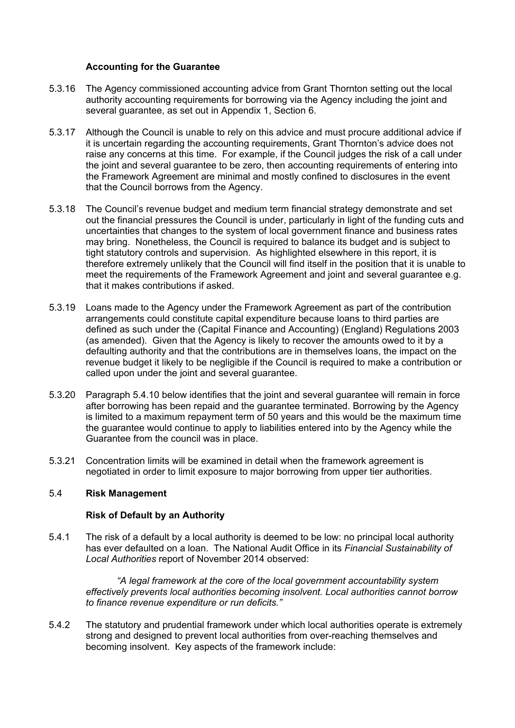### **Accounting for the Guarantee**

- 5.3.16 The Agency commissioned accounting advice from Grant Thornton setting out the local authority accounting requirements for borrowing via the Agency including the joint and several quarantee, as set out in Appendix 1, Section 6.
- 5.3.17 Although the Council is unable to rely on this advice and must procure additional advice if it is uncertain regarding the accounting requirements, Grant Thornton's advice does not raise any concerns at this time. For example, if the Council judges the risk of a call under the joint and several guarantee to be zero, then accounting requirements of entering into the Framework Agreement are minimal and mostly confined to disclosures in the event that the Council borrows from the Agency.
- 5.3.18 The Council's revenue budget and medium term financial strategy demonstrate and set out the financial pressures the Council is under, particularly in light of the funding cuts and uncertainties that changes to the system of local government finance and business rates may bring. Nonetheless, the Council is required to balance its budget and is subject to tight statutory controls and supervision. As highlighted elsewhere in this report, it is therefore extremely unlikely that the Council will find itself in the position that it is unable to meet the requirements of the Framework Agreement and joint and several guarantee e.g. that it makes contributions if asked.
- 5.3.19 Loans made to the Agency under the Framework Agreement as part of the contribution arrangements could constitute capital expenditure because loans to third parties are defined as such under the (Capital Finance and Accounting) (England) Regulations 2003 (as amended). Given that the Agency is likely to recover the amounts owed to it by a defaulting authority and that the contributions are in themselves loans, the impact on the revenue budget it likely to be negligible if the Council is required to make a contribution or called upon under the joint and several guarantee.
- 5.3.20 Paragraph 5.4.10 below identifies that the joint and several guarantee will remain in force after borrowing has been repaid and the guarantee terminated. Borrowing by the Agency is limited to a maximum repayment term of 50 years and this would be the maximum time the guarantee would continue to apply to liabilities entered into by the Agency while the Guarantee from the council was in place.
- 5.3.21 Concentration limits will be examined in detail when the framework agreement is negotiated in order to limit exposure to major borrowing from upper tier authorities.

# 5.4 **Risk Management**

#### **Risk of Default by an Authority**

5.4.1 The risk of a default by a local authority is deemed to be low: no principal local authority has ever defaulted on a loan. The National Audit Office in its *Financial Sustainability of Local Authorities* report of November 2014 observed:

*"A legal framework at the core of the local government accountability system effectively prevents local authorities becoming insolvent. Local authorities cannot borrow to finance revenue expenditure or run deficits."*

5.4.2 The statutory and prudential framework under which local authorities operate is extremely strong and designed to prevent local authorities from over-reaching themselves and becoming insolvent. Key aspects of the framework include: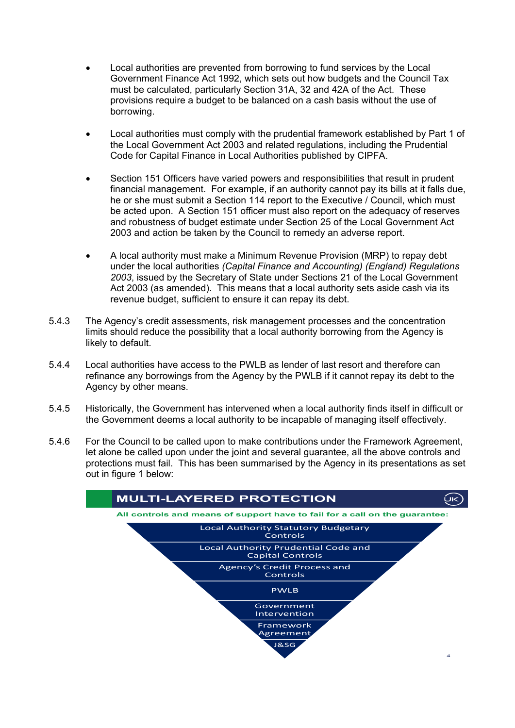- Local authorities are prevented from borrowing to fund services by the Local Government Finance Act 1992, which sets out how budgets and the Council Tax must be calculated, particularly Section 31A, 32 and 42A of the Act. These provisions require a budget to be balanced on a cash basis without the use of borrowing.
- Local authorities must comply with the prudential framework established by Part 1 of the Local Government Act 2003 and related regulations, including the Prudential Code for Capital Finance in Local Authorities published by CIPFA.
- Section 151 Officers have varied powers and responsibilities that result in prudent financial management. For example, if an authority cannot pay its bills at it falls due, he or she must submit a Section 114 report to the Executive / Council, which must be acted upon. A Section 151 officer must also report on the adequacy of reserves and robustness of budget estimate under Section 25 of the Local Government Act 2003 and action be taken by the Council to remedy an adverse report.
- A local authority must make a Minimum Revenue Provision (MRP) to repay debt under the local authorities *(Capital Finance and Accounting) (England) Regulations 2003*, issued by the Secretary of State under Sections 21 of the Local Government Act 2003 (as amended). This means that a local authority sets aside cash via its revenue budget, sufficient to ensure it can repay its debt.
- 5.4.3 The Agency's credit assessments, risk management processes and the concentration limits should reduce the possibility that a local authority borrowing from the Agency is likely to default.
- 5.4.4 Local authorities have access to the PWLB as lender of last resort and therefore can refinance any borrowings from the Agency by the PWLB if it cannot repay its debt to the Agency by other means.
- 5.4.5 Historically, the Government has intervened when a local authority finds itself in difficult or the Government deems a local authority to be incapable of managing itself effectively.
- 5.4.6 For the Council to be called upon to make contributions under the Framework Agreement, let alone be called upon under the joint and several guarantee, all the above controls and protections must fail. This has been summarised by the Agency in its presentations as set out in figure 1 below:

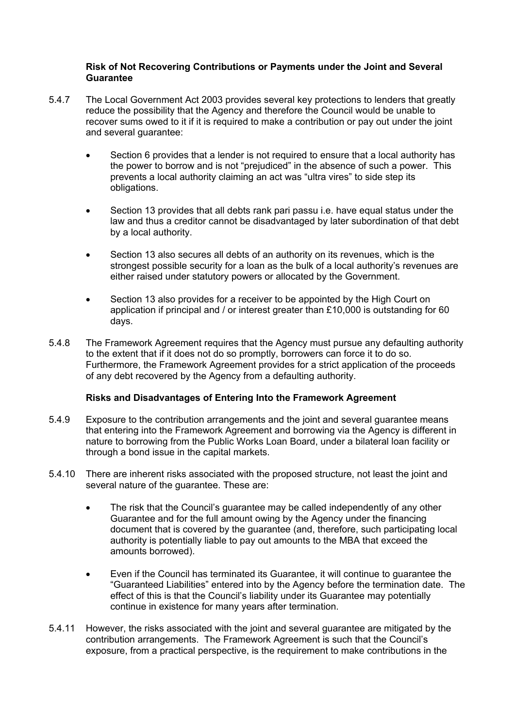# **Risk of Not Recovering Contributions or Payments under the Joint and Several Guarantee**

- 5.4.7 The Local Government Act 2003 provides several key protections to lenders that greatly reduce the possibility that the Agency and therefore the Council would be unable to recover sums owed to it if it is required to make a contribution or pay out under the joint and several guarantee:
	- Section 6 provides that a lender is not required to ensure that a local authority has the power to borrow and is not "prejudiced" in the absence of such a power. This prevents a local authority claiming an act was "ultra vires" to side step its obligations.
	- Section 13 provides that all debts rank pari passu i.e. have equal status under the law and thus a creditor cannot be disadvantaged by later subordination of that debt by a local authority.
	- Section 13 also secures all debts of an authority on its revenues, which is the strongest possible security for a loan as the bulk of a local authority's revenues are either raised under statutory powers or allocated by the Government.
	- Section 13 also provides for a receiver to be appointed by the High Court on application if principal and / or interest greater than  $£10,000$  is outstanding for 60 days.
- 5.4.8 The Framework Agreement requires that the Agency must pursue any defaulting authority to the extent that if it does not do so promptly, borrowers can force it to do so. Furthermore, the Framework Agreement provides for a strict application of the proceeds of any debt recovered by the Agency from a defaulting authority.

# **Risks and Disadvantages of Entering Into the Framework Agreement**

- 5.4.9 Exposure to the contribution arrangements and the joint and several guarantee means that entering into the Framework Agreement and borrowing via the Agency is different in nature to borrowing from the Public Works Loan Board, under a bilateral loan facility or through a bond issue in the capital markets.
- 5.4.10 There are inherent risks associated with the proposed structure, not least the joint and several nature of the guarantee. These are:
	- The risk that the Council's guarantee may be called independently of any other Guarantee and for the full amount owing by the Agency under the financing document that is covered by the guarantee (and, therefore, such participating local authority is potentially liable to pay out amounts to the MBA that exceed the amounts borrowed).
	- Even if the Council has terminated its Guarantee, it will continue to guarantee the "Guaranteed Liabilities" entered into by the Agency before the termination date. The effect of this is that the Council's liability under its Guarantee may potentially continue in existence for many years after termination.
- 5.4.11 However, the risks associated with the joint and several guarantee are mitigated by the contribution arrangements. The Framework Agreement is such that the Council's exposure, from a practical perspective, is the requirement to make contributions in the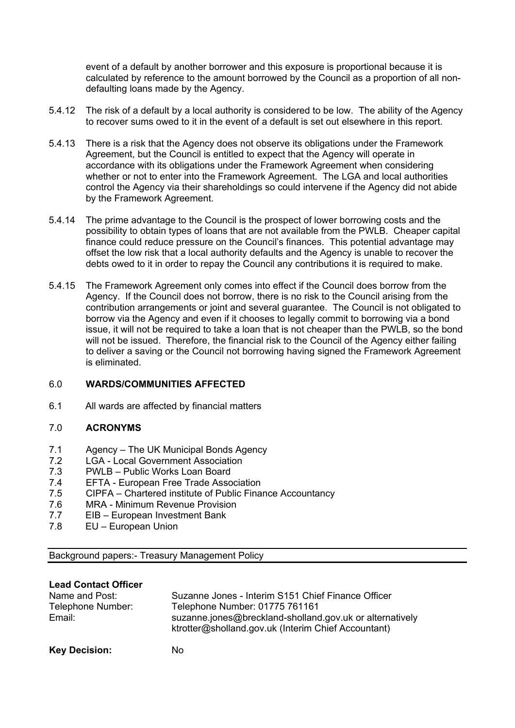event of a default by another borrower and this exposure is proportional because it is calculated by reference to the amount borrowed by the Council as a proportion of all nondefaulting loans made by the Agency.

- 5.4.12 The risk of a default by a local authority is considered to be low. The ability of the Agency to recover sums owed to it in the event of a default is set out elsewhere in this report.
- 5.4.13 There is a risk that the Agency does not observe its obligations under the Framework Agreement, but the Council is entitled to expect that the Agency will operate in accordance with its obligations under the Framework Agreement when considering whether or not to enter into the Framework Agreement. The LGA and local authorities control the Agency via their shareholdings so could intervene if the Agency did not abide by the Framework Agreement.
- 5.4.14 The prime advantage to the Council is the prospect of lower borrowing costs and the possibility to obtain types of loans that are not available from the PWLB. Cheaper capital finance could reduce pressure on the Council's finances. This potential advantage may offset the low risk that a local authority defaults and the Agency is unable to recover the debts owed to it in order to repay the Council any contributions it is required to make.
- 5.4.15 The Framework Agreement only comes into effect if the Council does borrow from the Agency. If the Council does not borrow, there is no risk to the Council arising from the contribution arrangements or joint and several guarantee. The Council is not obligated to borrow via the Agency and even if it chooses to legally commit to borrowing via a bond issue, it will not be required to take a loan that is not cheaper than the PWLB, so the bond will not be issued. Therefore, the financial risk to the Council of the Agency either failing to deliver a saving or the Council not borrowing having signed the Framework Agreement is eliminated.

# 6.0 **WARDS/COMMUNITIES AFFECTED**

6.1 All wards are affected by financial matters

# 7.0 **ACRONYMS**

- 7.1 Agency The UK Municipal Bonds Agency
- 7.2 LGA Local Government Association
- 7.3 PWLB Public Works Loan Board
- 7.4 EFTA European Free Trade Association
- 7.5 CIPFA Chartered institute of Public Finance Accountancy
- 7.6 MRA Minimum Revenue Provision
- 7.7 EIB European Investment Bank
- 7.8 EU European Union

Background papers:- Treasury Management Policy

#### **Lead Contact Officer**

| Name and Post:       | Suzanne Jones - Interim S151 Chief Finance Officer                                                              |
|----------------------|-----------------------------------------------------------------------------------------------------------------|
| Telephone Number:    | Telephone Number: 01775 761161                                                                                  |
| Email:               | suzanne.jones@breckland-sholland.gov.uk or alternatively<br>ktrotter@sholland.gov.uk (Interim Chief Accountant) |
| <b>Key Decision:</b> | Nο                                                                                                              |